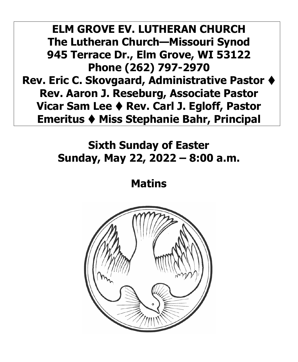**ELM GROVE EV. LUTHERAN CHURCH The Lutheran Church—Missouri Synod 945 Terrace Dr., Elm Grove, WI 53122 Phone (262) 797-2970 Rev. Eric C. Skovgaard, Administrative Pastor** ⧫ **Rev. Aaron J. Reseburg, Associate Pastor Vicar Sam Lee** ⧫ **Rev. Carl J. Egloff, Pastor Emeritus** ⧫ **Miss Stephanie Bahr, Principal** 

## **Sixth Sunday of Easter Sunday, May 22, 2022 – 8:00 a.m.**

**Matins** 

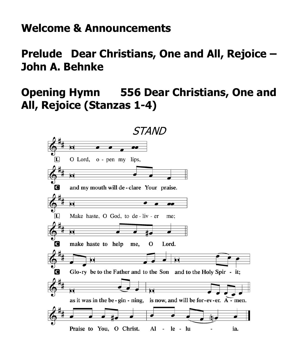### **Welcome & Announcements**

**Prelude Dear Christians, One and All, Rejoice – John A. Behnke** 

## **Opening Hymn 556 Dear Christians, One and All, Rejoice (Stanzas 1-4)**

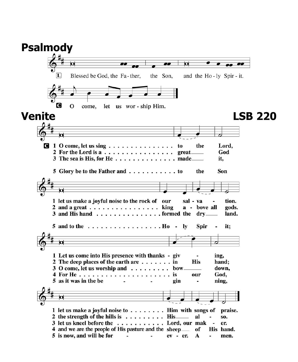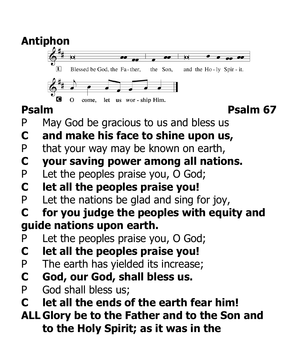

**to the Holy Spirit; as it was in the**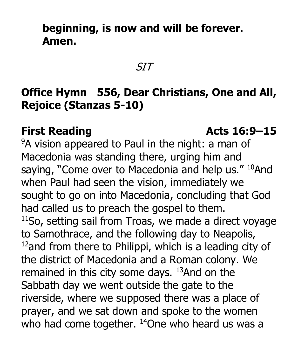## **beginning, is now and will be forever. Amen.**

SIT

## **Office Hymn 556, Dear Christians, One and All, Rejoice (Stanzas 5-10)**

#### **First Reading Constraints Acts 16:9–15**

<sup>9</sup>A vision appeared to Paul in the night: a man of Macedonia was standing there, urging him and saying, "Come over to Macedonia and help us." <sup>10</sup>And when Paul had seen the vision, immediately we sought to go on into Macedonia, concluding that God had called us to preach the gospel to them.  $11$ So, setting sail from Troas, we made a direct voyage to Samothrace, and the following day to Neapolis,  $12$ and from there to Philippi, which is a leading city of the district of Macedonia and a Roman colony. We remained in this city some days.  $13$ And on the Sabbath day we went outside the gate to the riverside, where we supposed there was a place of prayer, and we sat down and spoke to the women who had come together.  $14$ One who heard us was a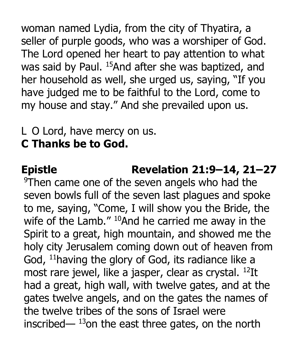woman named Lydia, from the city of Thyatira, a seller of purple goods, who was a worshiper of God. The Lord opened her heart to pay attention to what was said by Paul. <sup>15</sup>And after she was baptized, and her household as well, she urged us, saying, "If you have judged me to be faithful to the Lord, come to my house and stay." And she prevailed upon us.

### L O Lord, have mercy on us. **C Thanks be to God.**

# **Epistle Revelation 21:9–14, 21–27**

9 Then came one of the seven angels who had the seven bowls full of the seven last plagues and spoke to me, saying, "Come, I will show you the Bride, the wife of the Lamb."  $^{10}$ And he carried me away in the Spirit to a great, high mountain, and showed me the holy city Jerusalem coming down out of heaven from God, <sup>11</sup> having the glory of God, its radiance like a most rare jewel, like a jasper, clear as crystal. <sup>12</sup>It had a great, high wall, with twelve gates, and at the gates twelve angels, and on the gates the names of the twelve tribes of the sons of Israel were inscribed—  $^{13}$ on the east three gates, on the north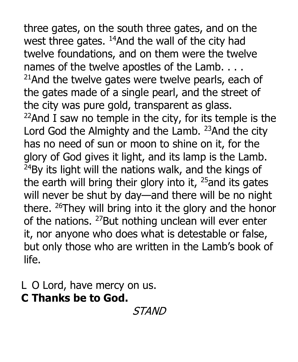three gates, on the south three gates, and on the west three gates.  $14$ And the wall of the city had twelve foundations, and on them were the twelve names of the twelve apostles of the Lamb. . . .  $21$ And the twelve gates were twelve pearls, each of the gates made of a single pearl, and the street of the city was pure gold, transparent as glass.  $22$ And I saw no temple in the city, for its temple is the Lord God the Almighty and the Lamb. <sup>23</sup>And the city has no need of sun or moon to shine on it, for the glory of God gives it light, and its lamp is the Lamb.  $^{24}$ By its light will the nations walk, and the kings of the earth will bring their glory into it,  $25$  and its gates will never be shut by day—and there will be no night there. <sup>26</sup>They will bring into it the glory and the honor of the nations. <sup>27</sup>But nothing unclean will ever enter it, nor anyone who does what is detestable or false, but only those who are written in the Lamb's book of life.

L O Lord, have mercy on us. **C Thanks be to God.** 

**STAND**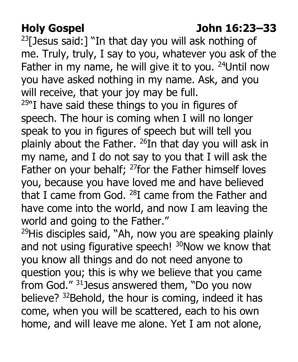# **Holy Gospel John 16:23–33**

 $23$ [Jesus said:] "In that day you will ask nothing of me. Truly, truly, I say to you, whatever you ask of the Father in my name, he will give it to you. <sup>24</sup>Until now you have asked nothing in my name. Ask, and you will receive, that your joy may be full.

 $25$ "I have said these things to you in figures of speech. The hour is coming when I will no longer speak to you in figures of speech but will tell you plainly about the Father.  $^{26}$ In that day you will ask in my name, and I do not say to you that I will ask the Father on your behalf;  $27$  for the Father himself loves you, because you have loved me and have believed that I came from God.  $^{28}I$  came from the Father and have come into the world, and now I am leaving the world and going to the Father."

 you know all things and do not need anyone to <sup>29</sup>His disciples said, "Ah, now you are speaking plainly and not using figurative speech! <sup>30</sup>Now we know that question you; this is why we believe that you came from God." <sup>31</sup>Jesus answered them, "Do you now believe? <sup>32</sup>Behold, the hour is coming, indeed it has come, when you will be scattered, each to his own home, and will leave me alone. Yet I am not alone,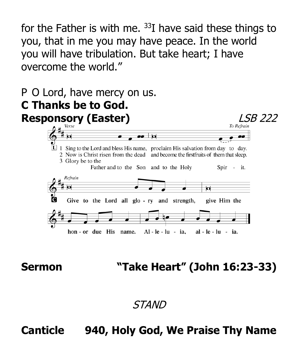for the Father is with me.  $33I$  have said these things to you, that in me you may have peace. In the world you will have tribulation. But take heart; I have overcome the world."



# **Sermon "Take Heart" (John 16:23-33)**

### STAND

## **Canticle 940, Holy God, We Praise Thy Name**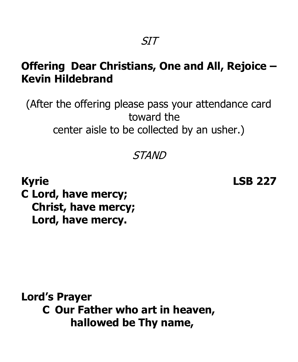## **Offering Dear Christians, One and All, Rejoice – Kevin Hildebrand**

(After the offering please pass your attendance card toward the center aisle to be collected by an usher.)

#### STAND

**Kyrie LSB 227 C Lord, have mercy; Christ, have mercy; Lord, have mercy.** 

**Lord's Prayer C Our Father who art in heaven, hallowed be Thy name,**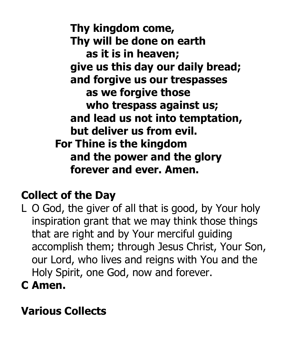**Thy kingdom come, Thy will be done on earth as it is in heaven; give us this day our daily bread; and forgive us our trespasses as we forgive those who trespass against us; and lead us not into temptation, but deliver us from evil. For Thine is the kingdom and the power and the glory forever and ever. Amen.** 

## **Collect of the Day**

- L O God, the giver of all that is good, by Your holy inspiration grant that we may think those things that are right and by Your merciful guiding accomplish them; through Jesus Christ, Your Son, our Lord, who lives and reigns with You and the Holy Spirit, one God, now and forever.
- **C Amen.**

# **Various Collects**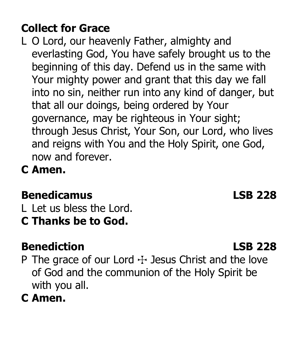## **Collect for Grace**

- L O Lord, our heavenly Father, almighty and everlasting God, You have safely brought us to the beginning of this day. Defend us in the same with Your mighty power and grant that this day we fall into no sin, neither run into any kind of danger, but that all our doings, being ordered by Your governance, may be righteous in Your sight; through Jesus Christ, Your Son, our Lord, who lives and reigns with You and the Holy Spirit, one God, now and forever.
- **C Amen.**

# **Benedicamus LSB 228**

L Let us bless the Lord.

**C Thanks be to God.** 

# **Benediction LSB 228**

- P The grace of our Lord  $+$  Jesus Christ and the love of God and the communion of the Holy Spirit be with you all.
- **C Amen.**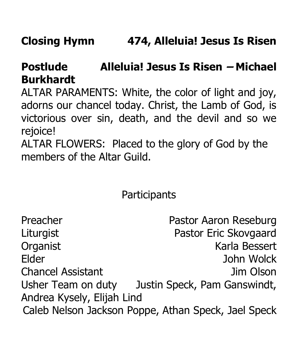# **Postlude Alleluia! Jesus Is Risen – Michael Burkhardt**

ALTAR PARAMENTS: White, the color of light and joy, adorns our chancel today. Christ, the Lamb of God, is victorious over sin, death, and the devil and so we rejoice!

ALTAR FLOWERS: Placed to the glory of God by the members of the Altar Guild.

**Participants** 

| Preacher                                            | Pastor Aaron Reseburg        |
|-----------------------------------------------------|------------------------------|
| Liturgist                                           | Pastor Eric Skovgaard        |
| Organist                                            | Karla Bessert                |
| Elder                                               | John Wolck                   |
| <b>Chancel Assistant</b>                            | Jim Olson                    |
| Usher Team on duty                                  | Justin Speck, Pam Ganswindt, |
| Andrea Kysely, Elijah Lind                          |                              |
| Caleb Nelson Jackson Poppe, Athan Speck, Jael Speck |                              |
|                                                     |                              |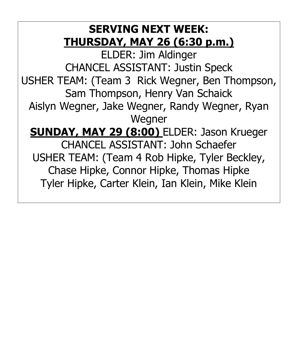## **SERVING NEXT WEEK: THURSDAY, MAY 26 (6:30 p.m.)**

ELDER: Jim Aldinger CHANCEL ASSISTANT: Justin Speck USHER TEAM: (Team 3 Rick Wegner, Ben Thompson, Sam Thompson, Henry Van Schaick Aislyn Wegner, Jake Wegner, Randy Wegner, Ryan Wegner **SUNDAY, MAY 29 (8:00)** ELDER: Jason Krueger CHANCEL ASSISTANT: John Schaefer USHER TEAM: (Team 4 Rob Hipke, Tyler Beckley, Chase Hipke, Connor Hipke, Thomas Hipke Tyler Hipke, Carter Klein, Ian Klein, Mike Klein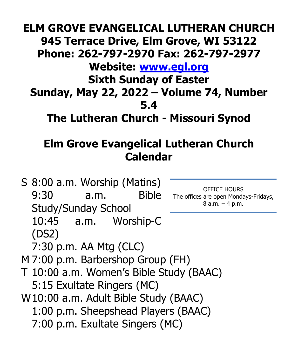# **ELM GROVE EVANGELICAL LUTHERAN CHURCH 945 Terrace Drive, Elm Grove, WI 53122 Phone: 262-797-2970 Fax: 262-797-2977 Website: [www.egl.org](http://www.egl.org/)  Sixth Sunday of Easter Sunday, May 22, 2022 – Volume 74, Number 5.4 The Lutheran Church - Missouri Synod**

## **Elm Grove Evangelical Lutheran Church Calendar**

S 8:00 a.m. Worship (Matins)<br>9:30 a.m. Bible The offices are open Mondays-Fridays,<br>8 a.m. – 4 p.m. Study/Sunday School 10:45 a.m. Worship-C (DS2) 7:30 p.m. AA Mtg (CLC) M 7:00 p.m. Barbershop Group (FH) T 10:00 a.m. Women's Bible Study (BAAC) 5:15 Exultate Ringers (MC) W10:00 a.m. Adult Bible Study (BAAC) 1:00 p.m. Sheepshead Players (BAAC) 7:00 p.m. Exultate Singers (MC)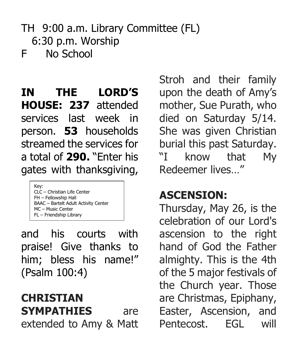## TH 9:00 a.m. Library Committee (FL) 6:30 p.m. Worship F No School

## **IN THE LORD'S HOUSE: 237** attended services last week in person. **53** households streamed the services for a total of **290.** "Enter his gates with thanksgiving,

Key: CLC – Christian Life Center FH – Fellowship Hall BAAC – Bartelt Adult Activity Center MC – Music Center FL – Friendship Library

 praise! Give thanks to and his courts with him; bless his name!" (Psalm 100:4)

**CHRISTIAN SYMPATHIES** are extended to Amy & Matt

 upon the death of Amy's died on Saturday 5/14. She was given Christian burial this past Saturday. Stroh and their family mother, Sue Purath, who "I know that My Redeemer lives…"

## **ASCENSION:**

Thursday, May 26, is the celebration of our Lord's ascension to the right hand of God the Father almighty. This is the 4th of the 5 major festivals of the Church year. Those are Christmas, Epiphany, Easter, Ascension, and Pentecost. FGI will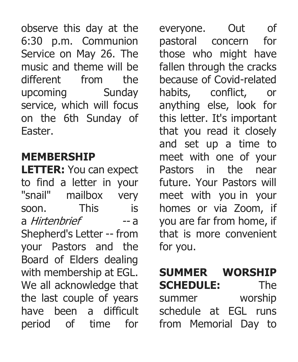observe this day at the on the 6th Sunday of 6:30 p.m. Communion Service on May 26. The music and theme will be different from the upcoming Sunday service, which will focus Easter.

## **MEMBERSHIP**

mailbox the last couple of years **LETTER:** You can expect to find a letter in your "snail" mailbox very soon. This is a *Hirtenbrief* -- a Shepherd's Letter -- from your Pastors and the Board of Elders dealing with membership at EGL. We all acknowledge that have been a difficult period of time for

 habits, conflict, or and set up a time to homes or via Zoom, if you are far from home, if everyone. Out of pastoral concern for those who might have fallen through the cracks because of Covid-related anything else, look for this letter. It's important that you read it closely meet with one of your Pastors in the near future. Your Pastors will meet with you in your that is more convenient for you.

# **SUMMER WORSHIP**

 from Memorial Day to **SCHEDULE:** The summer worship schedule at EGL runs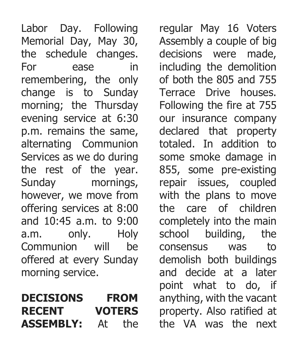the schedule changes. change is to Sunday and 10:45 a.m. to 9:00 a.m. only. Holy Communion will be Labor Day. Following Memorial Day, May 30, For ease in remembering, the only morning; the Thursday evening service at 6:30 p.m. remains the same, alternating Communion Services as we do during the rest of the year. Sunday mornings, however, we move from offering services at 8:00 offered at every Sunday morning service.

## **DECISIONS FROM RECENT VOTERS ASSEMBLY:** At the

 our insurance company with the plans to move the care of children point what to do, if property. Also ratified at regular May 16 Voters Assembly a couple of big decisions were made, including the demolition of both the 805 and 755 Terrace Drive houses. Following the fire at 755 declared that property totaled. In addition to some smoke damage in 855, some pre-existing repair issues, coupled completely into the main school building, the consensus was to demolish both buildings and decide at a later anything, with the vacant the VA was the next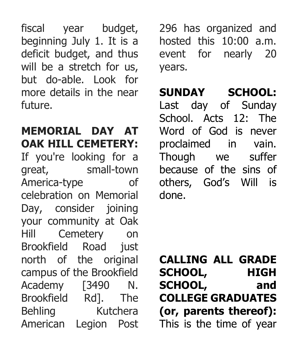fiscal year budget, beginning July 1. It is a deficit budget, and thus will be a stretch for us, but do-able. Look for more details in the near future.

### **MEMORIAL DAY AT OAK HILL CEMETERY:**

 Brookfield Rd]. The If you're looking for a great, small-town America-type of celebration on Memorial Day, consider joining your community at Oak Hill Cemetery on Brookfield Road just north of the original campus of the Brookfield Academy [3490 N. Behling Kutchera American Legion Post

 296 has organized and hosted this 10:00 a.m. event for nearly 20 years.

# **SUNDAY SCHOOL:**

 Last day of Sunday School. Acts 12: The Though we suffer Word of God is never proclaimed in vain. because of the sins of others, God's Will is done.

**CALLING ALL GRADE SCHOOL, HIGH SCHOOL, and COLLEGE GRADUATES (or, parents thereof):**  This is the time of year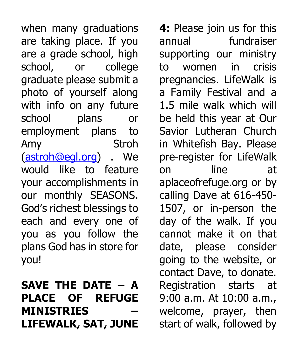are a grade school, high school, or college would like to feature when many graduations are taking place. If you graduate please submit a photo of yourself along with info on any future school plans or employment plans to Amy Stroh [\(astroh@egl.org\)](mailto:astroh@egl.org) . We your accomplishments in our monthly SEASONS. God's richest blessings to each and every one of you as you follow the plans God has in store for you!

## **SAVE THE DATE – A PLACE OF REFUGE MINISTRIES – LIFEWALK, SAT, JUNE**

 calling Dave at 616-450- day of the walk. If you going to the website, or **4:** Please join us for this annual fundraiser supporting our ministry to women in crisis pregnancies. LifeWalk is a Family Festival and a 1.5 mile walk which will be held this year at Our Savior Lutheran Church in Whitefish Bay. Please pre-register for LifeWalk on line at [aplaceofrefuge.org](https://aplaceofrefuge.org) or by 1507, or in-person the cannot make it on that date, please consider contact Dave, to donate. Registration starts at 9:00 a.m. At 10:00 a.m., welcome, prayer, then start of walk, followed by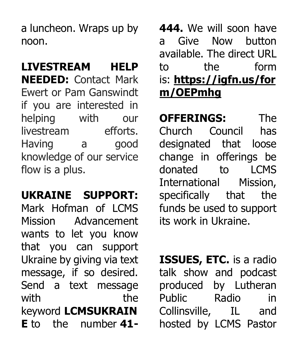a luncheon. Wraps up by noon.

**LIVESTREAM HELP NEEDED:** Contact Mark Ewert or Pam Ganswindt if you are interested in helping with our livestream efforts. Having a good knowledge of our service flow is a plus.

 Mark Hofman of LCMS that you can support Send a text message **UKRAINE SUPPORT:**  Mission Advancement wants to let you know Ukraine by giving via text message, if so desired. with the keyword **LCMSUKRAIN E** to the number **41-**

 **444.** We will soon have to a Give Now button available. The direct URL the form is: **[https://igfn.us/for](https://igfn.us/form/OEPmhg)  [m/OEPmhg](https://igfn.us/form/OEPmhg)** 

 donated to LCMS **OFFERINGS:** The Church Council has designated that loose change in offerings be International Mission, specifically that the funds be used to support its work in Ukraine.

 produced by Lutheran Radio hosted by LCMS Pastor **ISSUES, ETC.** is a radio talk show and podcast Public Radio in Collinsville, IL and